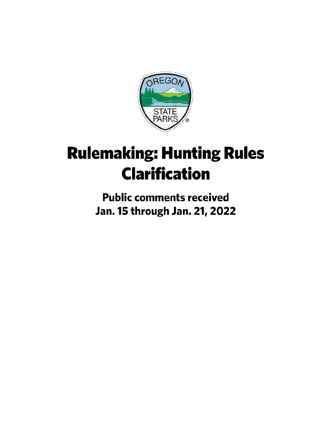

# **Rulemaking: Hunting Rules Clarification**

**Public comments received** Jan. 15 through Jan. 21, 2022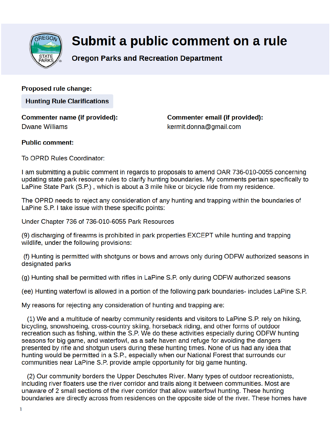

# Submit a public comment on a rule

### **Oregon Parks and Recreation Department**

**Proposed rule change:** 

**Hunting Rule Clarifications** 

**Commenter name (if provided): Dwane Williams** 

**Commenter email (if provided):** kermit.donna@gmail.com

#### **Public comment:**

To OPRD Rules Coordinator:

I am submitting a public comment in regards to proposals to amend OAR 736-010-0055 concerning updating state park resource rules to clarify hunting boundaries. My comments pertain specifically to LaPine State Park (S.P.), which is about a 3 mile hike or bicycle ride from my residence.

The OPRD needs to reject any consideration of any hunting and trapping within the boundaries of LaPine S.P. I take issue with these specific points:

Under Chapter 736 of 736-010-6055 Park Resources

(9) discharging of firearms is prohibited in park properties EXCEPT while hunting and trapping wildlife, under the following provisions:

(f) Hunting is permitted with shotguns or bows and arrows only during ODFW authorized seasons in designated parks

(g) Hunting shall be permitted with rifles in LaPine S.P. only during ODFW authorized seasons

(ee) Hunting waterfowl is allowed in a portion of the following park boundaries- includes LaPine S.P.

My reasons for rejecting any consideration of hunting and trapping are:

(1) We and a multitude of nearby community residents and visitors to LaPine S.P. rely on hiking. bicycling, snowshoeing, cross-country skiing, horseback riding, and other forms of outdoor recreation such as fishing, within the S.P. We do these activities especially during ODFW hunting seasons for big game, and waterfowl, as a safe haven and refuge for avoiding the dangers presented by rifle and shotgun users during these hunting times. None of us had any idea that hunting would be permitted in a S.P., especially when our National Forest that surrounds our communities near LaPine S.P. provide ample opportunity for big game hunting.

(2) Our community borders the Upper Deschutes River. Many types of outdoor recreationists, including river floaters use the river corridor and trails along it between communities. Most are unaware of 2 small sections of the river corridor that allow waterfowl hunting. These hunting boundaries are directly across from residences on the opposite side of the river. These homes have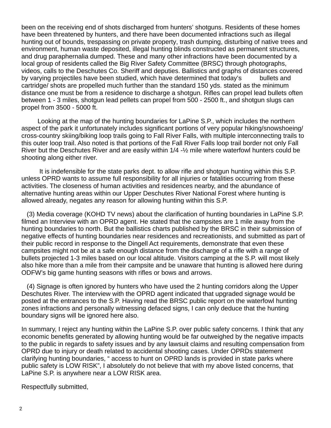been on the receiving end of shots discharged from hunters' shotguns. Residents of these homes have been threatened by hunters, and there have been documented infractions such as illegal hunting out of bounds, trespassing on private property, trash dumping, disturbing of native trees and environment, human waste deposited, illegal hunting blinds constructed as permanent structures, and drug paraphernalia dumped. These and many other infractions have been documented by a local group of residents called the Big River Safety Committee (BRSC) through photographs, videos, calls to the Deschutes Co. Sheriff and deputies. Ballistics and graphs of distances covered by varying projectiles have been studied, which have determined that today's bullets and cartridge/ shots are propelled much further than the standard 150 yds. stated as the minimum distance one must be from a residence to discharge a shotgun. Rifles can propel lead bullets often between 1 - 3 miles, shotgun lead pellets can propel from 500 - 2500 ft., and shotgun slugs can propel from 3500 - 5000 ft.

 Looking at the map of the hunting boundaries for LaPine S.P., which includes the northern aspect of the park it unfortunately includes significant portions of very popular hiking/snowshoeing/ cross-country skiing/biking loop trails going to Fall River Falls, with multiple interconnecting trails to this outer loop trail. Also noted is that portions of the Fall River Falls loop trail border not only Fall River but the Deschutes River and are easily within 1/4 -½ mile where waterfowl hunters could be shooting along either river.

 It is indefensible for the state parks dept. to allow rifle and shotgun hunting within this S.P. unless OPRD wants to assume full responsibility for all injuries or fatalities occurring from these activities. The closeness of human activities and residences nearby, and the abundance of alternative hunting areas within our Upper Deschutes River National Forest where hunting is allowed already, negates any reason for allowing hunting within this S.P.

 (3) Media coverage (KOHD TV news) about the clarification of hunting boundaries in LaPine S.P. filmed an Interview with an OPRD agent. He stated that the campsites are 1 mile away from the hunting boundaries to north. But the ballistics charts published by the BRSC in their submission of negative effects of hunting boundaries near residences and recreationists, and submitted as part of their public record in response to the Dingell Act requirements, demonstrate that even these campsites might not be at a safe enough distance from the discharge of a rifle with a range of bullets projected 1-3 miles based on our local altitude. Visitors camping at the S.P. will most likely also hike more than a mile from their campsite and be unaware that hunting is allowed here during ODFW's big game hunting seasons with rifles or bows and arrows.

 (4) Signage is often ignored by hunters who have used the 2 hunting corridors along the Upper Deschutes River. The interview with the OPRD agent indicated that upgraded signage would be posted at the entrances to the S.P. Having read the BRSC public report on the waterfowl hunting zones infractions and personally witnessing defaced signs, I can only deduce that the hunting boundary signs will be ignored here also.

In summary, I reject any hunting within the LaPine S.P. over public safety concerns. I think that any economic benefits generated by allowing hunting would be far outweighed by the negative impacts to the public in regards to safety issues and by any lawsuit claims and resulting compensation from OPRD due to injury or death related to accidental shooting cases. Under OPRDs statement clarifying hunting boundaries, " access to hunt on OPRD lands is provided in state parks where public safety is LOW RISK", I absolutely do not believe that with my above listed concerns, that LaPine S.P. is anywhere near a LOW RISK area.

Respectfully submitted,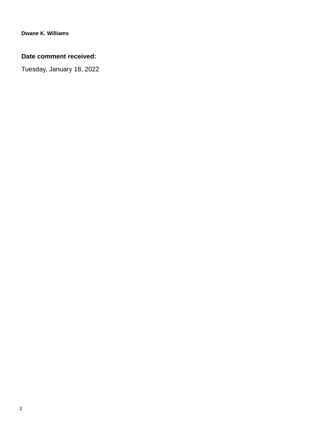#### **Date comment received:**

Tuesday, January 18, 2022